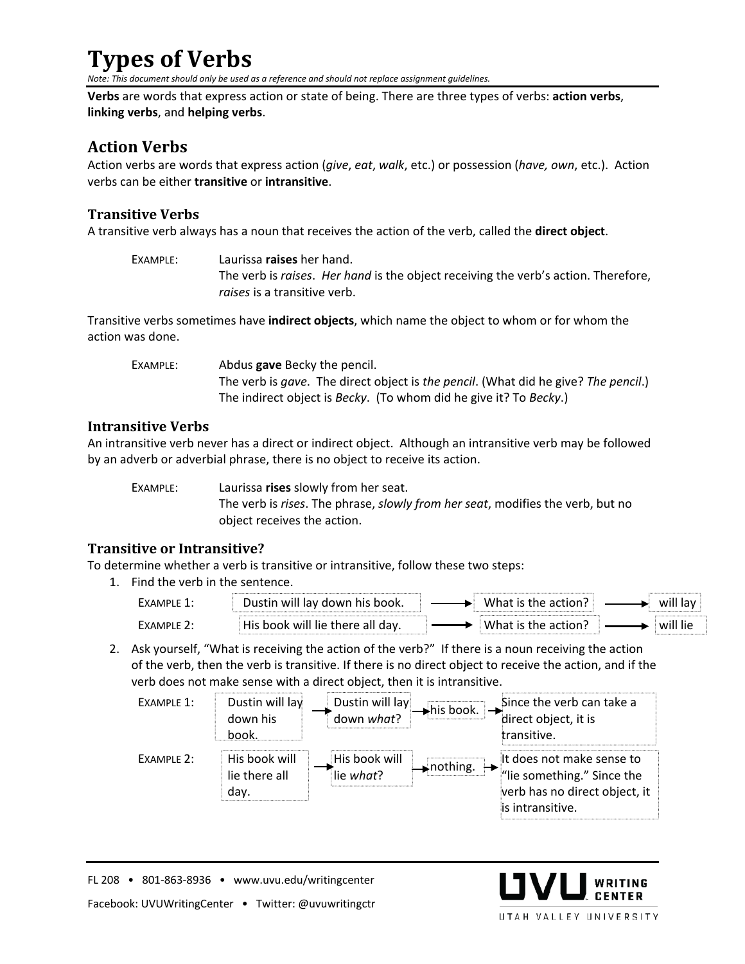## **Types of Verbs**

*Note: This document should only be used as a reference and should not replace assignment guidelines.* 

**Verbs** are words that express action or state of being. There are three types of verbs: **action verbs**, **linking verbs**, and **helping verbs**.

## **Action Verbs**

Action verbs are words that express action (*give*, *eat*, *walk*, etc.) or possession (*have, own*, etc.). Action verbs can be either **transitive** or **intransitive**.

### **Transitive Verbs**

A transitive verb always has a noun that receives the action of the verb, called the **direct object**.

| EXAMPLE: | Laurissa raises her hand.                                                          |  |  |  |  |
|----------|------------------------------------------------------------------------------------|--|--|--|--|
|          | The verb is raises. Her hand is the object receiving the verb's action. Therefore, |  |  |  |  |
|          | raises is a transitive verb.                                                       |  |  |  |  |

Transitive verbs sometimes have **indirect objects**, which name the object to whom or for whom the action was done.

| EXAMPLE: | Abdus <b>gave</b> Becky the pencil.                                                |  |  |  |
|----------|------------------------------------------------------------------------------------|--|--|--|
|          | The verb is gave. The direct object is the pencil. (What did he give? The pencil.) |  |  |  |
|          | The indirect object is Becky. (To whom did he give it? To Becky.)                  |  |  |  |

#### **Intransitive Verbs**

An intransitive verb never has a direct or indirect object. Although an intransitive verb may be followed by an adverb or adverbial phrase, there is no object to receive its action.

EXAMPLE: Laurissa **rises** slowly from her seat. The verb is *rises*. The phrase, *slowly from her seat*, modifies the verb, but no object receives the action.

#### **Transitive or Intransitive?**

To determine whether a verb is transitive or intransitive, follow these two steps:

1. Find the verb in the sentence.

| $-x \Delta M \nu$ | lav<br><b>his</b><br>book.<br><b>WIII</b><br>down | w<br>-    | <br>wıl<br>lav                                        |
|-------------------|---------------------------------------------------|-----------|-------------------------------------------------------|
| AMPI              | <br>will<br>The there all<br>dav.<br>nnnk         | w<br>د 11 | will<br>lie<br>,,,,,,,,,,,,,,,,,,,,,,,,,,,,,,,,,,,,,, |

2. Ask yourself, "What is receiving the action of the verb?" If there is a noun receiving the action of the verb, then the verb is transitive. If there is no direct object to receive the action, and if the verb does not make sense with a direct object, then it is intransitive.



WRITING

UTAH VALLEY UNIVERSITY

FL 208 • 801-863-8936 • www.uvu.edu/writingcenter